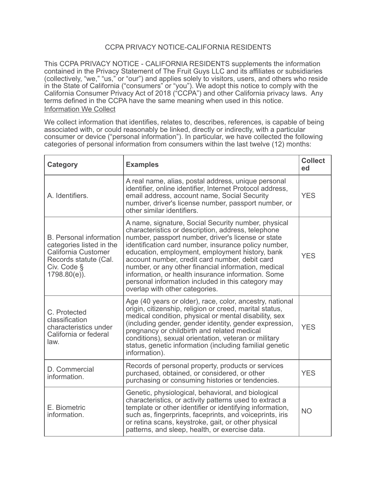# CCPA PRIVACY NOTICE-CALIFORNIA RESIDENTS

This CCPA PRIVACY NOTICE - CALIFORNIA RESIDENTS supplements the information contained in the Privacy Statement of The Fruit Guys LLC and its affiliates or subsidiaries (collectively, "we," "us," or "our") and applies solely to visitors, users, and others who reside in the State of California ("consumers" or "you"). We adopt this notice to comply with the California Consumer Privacy Act of 2018 ("CCPA") and other California privacy laws. Any terms defined in the CCPA have the same meaning when used in this notice. Information We Collect

We collect information that identifies, relates to, describes, references, is capable of being associated with, or could reasonably be linked, directly or indirectly, with a particular consumer or device ("personal information"). In particular, we have collected the following categories of personal information from consumers within the last twelve (12) months:

| <b>Category</b>                                                                                                                              | <b>Examples</b>                                                                                                                                                                                                                                                                                                                                                                                                                                                                                                                   | <b>Collect</b><br>ed |
|----------------------------------------------------------------------------------------------------------------------------------------------|-----------------------------------------------------------------------------------------------------------------------------------------------------------------------------------------------------------------------------------------------------------------------------------------------------------------------------------------------------------------------------------------------------------------------------------------------------------------------------------------------------------------------------------|----------------------|
| A. Identifiers.                                                                                                                              | A real name, alias, postal address, unique personal<br>identifier, online identifier, Internet Protocol address,<br>email address, account name, Social Security<br>number, driver's license number, passport number, or<br>other similar identifiers.                                                                                                                                                                                                                                                                            | <b>YES</b>           |
| <b>B.</b> Personal information<br>categories listed in the<br>California Customer<br>Records statute (Cal.<br>Civ. Code §<br>$1798.80(e)$ ). | A name, signature, Social Security number, physical<br>characteristics or description, address, telephone<br>number, passport number, driver's license or state<br>identification card number, insurance policy number,<br>education, employment, employment history, bank<br>account number, credit card number, debit card<br>number, or any other financial information, medical<br>information, or health insurance information. Some<br>personal information included in this category may<br>overlap with other categories. | <b>YES</b>           |
| C. Protected<br>classification<br>characteristics under<br>California or federal<br>law.                                                     | Age (40 years or older), race, color, ancestry, national<br>origin, citizenship, religion or creed, marital status,<br>medical condition, physical or mental disability, sex<br>(including gender, gender identity, gender expression,<br>pregnancy or childbirth and related medical<br>conditions), sexual orientation, veteran or military<br>status, genetic information (including familial genetic<br>information).                                                                                                         | <b>YES</b>           |
| D. Commercial<br>information.                                                                                                                | Records of personal property, products or services<br>purchased, obtained, or considered, or other<br>purchasing or consuming histories or tendencies.                                                                                                                                                                                                                                                                                                                                                                            | <b>YES</b>           |
| E. Biometric<br>information.                                                                                                                 | Genetic, physiological, behavioral, and biological<br>characteristics, or activity patterns used to extract a<br>template or other identifier or identifying information,<br>such as, fingerprints, faceprints, and voiceprints, iris<br>or retina scans, keystroke, gait, or other physical<br>patterns, and sleep, health, or exercise data.                                                                                                                                                                                    | <b>NO</b>            |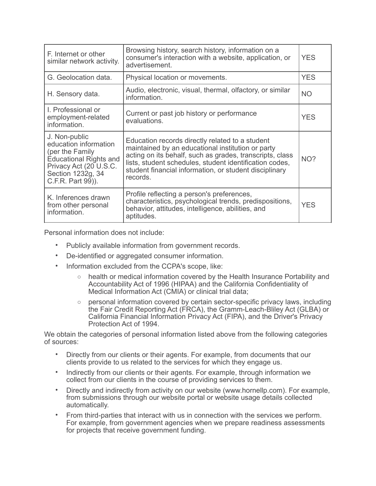| F. Internet or other<br>similar network activity.                                                                                                              | Browsing history, search history, information on a<br>consumer's interaction with a website, application, or<br>advertisement.                                                                                                                                                                    | <b>YES</b> |
|----------------------------------------------------------------------------------------------------------------------------------------------------------------|---------------------------------------------------------------------------------------------------------------------------------------------------------------------------------------------------------------------------------------------------------------------------------------------------|------------|
| G. Geolocation data.                                                                                                                                           | Physical location or movements.                                                                                                                                                                                                                                                                   | <b>YES</b> |
| H. Sensory data.                                                                                                                                               | Audio, electronic, visual, thermal, olfactory, or similar<br>information.                                                                                                                                                                                                                         | <b>NO</b>  |
| I. Professional or<br>employment-related<br>information.                                                                                                       | Current or past job history or performance<br>evaluations.                                                                                                                                                                                                                                        | <b>YES</b> |
| J. Non-public<br>education information<br>(per the Family<br><b>Educational Rights and</b><br>Privacy Act (20 U.S.C.<br>Section 1232g, 34<br>C.F.R. Part 99)). | Education records directly related to a student<br>maintained by an educational institution or party<br>acting on its behalf, such as grades, transcripts, class<br>lists, student schedules, student identification codes,<br>student financial information, or student disciplinary<br>records. | NO?        |
| K. Inferences drawn<br>from other personal<br>information.                                                                                                     | Profile reflecting a person's preferences,<br>characteristics, psychological trends, predispositions,<br>behavior, attitudes, intelligence, abilities, and<br>aptitudes.                                                                                                                          | <b>YES</b> |

Personal information does not include:

- Publicly available information from government records.
- De-identified or aggregated consumer information.
- Information excluded from the CCPA's scope, like:
	- o health or medical information covered by the Health Insurance Portability and Accountability Act of 1996 (HIPAA) and the California Confidentiality of Medical Information Act (CMIA) or clinical trial data;
	- o personal information covered by certain sector-specific privacy laws, including the Fair Credit Reporting Act (FRCA), the Gramm-Leach-Bliley Act (GLBA) or California Financial Information Privacy Act (FIPA), and the Driver's Privacy Protection Act of 1994.

We obtain the categories of personal information listed above from the following categories of sources:

- Directly from our clients or their agents. For example, from documents that our clients provide to us related to the services for which they engage us.
- Indirectly from our clients or their agents. For example, through information we collect from our clients in the course of providing services to them.
- Directly and indirectly from activity on our website (www.hornellp.com). For example, from submissions through our website portal or website usage details collected automatically.
- From third-parties that interact with us in connection with the services we perform. For example, from government agencies when we prepare readiness assessments for projects that receive government funding.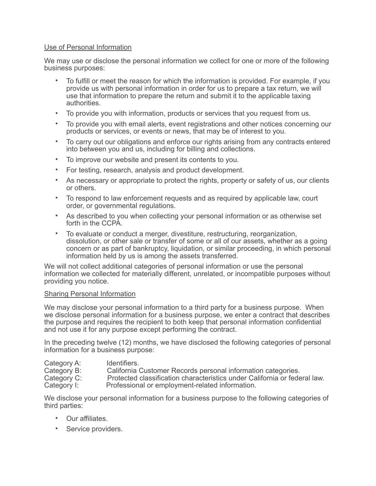## Use of Personal Information

We may use or disclose the personal information we collect for one or more of the following business purposes:

- To fulfill or meet the reason for which the information is provided. For example, if you provide us with personal information in order for us to prepare a tax return, we will use that information to prepare the return and submit it to the applicable taxing authorities.
- To provide you with information, products or services that you request from us.
- To provide you with email alerts, event registrations and other notices concerning our products or services, or events or news, that may be of interest to you.
- To carry out our obligations and enforce our rights arising from any contracts entered into between you and us, including for billing and collections.
- To improve our website and present its contents to you.
- For testing, research, analysis and product development.
- As necessary or appropriate to protect the rights, property or safety of us, our clients or others.
- To respond to law enforcement requests and as required by applicable law, court order, or governmental regulations.
- As described to you when collecting your personal information or as otherwise set forth in the CCPA.
- To evaluate or conduct a merger, divestiture, restructuring, reorganization, dissolution, or other sale or transfer of some or all of our assets, whether as a going concern or as part of bankruptcy, liquidation, or similar proceeding, in which personal information held by us is among the assets transferred.

We will not collect additional categories of personal information or use the personal information we collected for materially different, unrelated, or incompatible purposes without providing you notice.

## Sharing Personal Information

We may disclose your personal information to a third party for a business purpose. When we disclose personal information for a business purpose, we enter a contract that describes the purpose and requires the recipient to both keep that personal information confidential and not use it for any purpose except performing the contract.

In the preceding twelve (12) months, we have disclosed the following categories of personal information for a business purpose:

| Category A: | Identifiers.                                                              |
|-------------|---------------------------------------------------------------------------|
| Category B: | California Customer Records personal information categories.              |
| Category C: | Protected classification characteristics under California or federal law. |
| Category I: | Professional or employment-related information.                           |

We disclose your personal information for a business purpose to the following categories of third parties:

- Our affiliates.
- Service providers.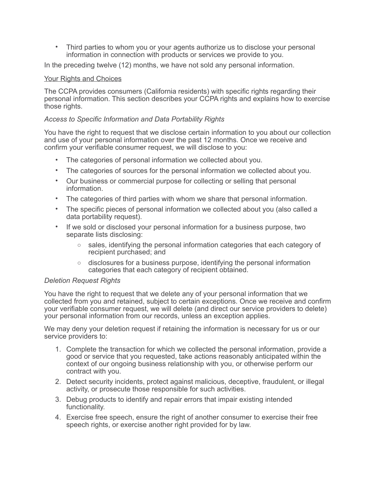• Third parties to whom you or your agents authorize us to disclose your personal information in connection with products or services we provide to you.

In the preceding twelve (12) months, we have not sold any personal information.

## Your Rights and Choices

The CCPA provides consumers (California residents) with specific rights regarding their personal information. This section describes your CCPA rights and explains how to exercise those rights.

## *Access to Specific Information and Data Portability Rights*

You have the right to request that we disclose certain information to you about our collection and use of your personal information over the past 12 months. Once we receive and confirm your verifiable consumer request, we will disclose to you:

- The categories of personal information we collected about you.
- The categories of sources for the personal information we collected about you.
- Our business or commercial purpose for collecting or selling that personal information.
- The categories of third parties with whom we share that personal information.
- The specific pieces of personal information we collected about you (also called a data portability request).
- If we sold or disclosed your personal information for a business purpose, two separate lists disclosing:
	- $\circ$  sales, identifying the personal information categories that each category of recipient purchased; and
	- $\circ$  disclosures for a business purpose, identifying the personal information categories that each category of recipient obtained.

#### *Deletion Request Rights*

You have the right to request that we delete any of your personal information that we collected from you and retained, subject to certain exceptions. Once we receive and confirm your verifiable consumer request, we will delete (and direct our service providers to delete) your personal information from our records, unless an exception applies.

We may deny your deletion request if retaining the information is necessary for us or our service providers to:

- 1. Complete the transaction for which we collected the personal information, provide a good or service that you requested, take actions reasonably anticipated within the context of our ongoing business relationship with you, or otherwise perform our contract with you.
- 2. Detect security incidents, protect against malicious, deceptive, fraudulent, or illegal activity, or prosecute those responsible for such activities.
- 3. Debug products to identify and repair errors that impair existing intended functionality.
- 4. Exercise free speech, ensure the right of another consumer to exercise their free speech rights, or exercise another right provided for by law.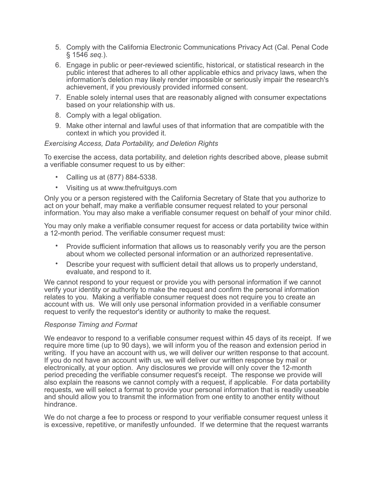- 5. Comply with the California Electronic Communications Privacy Act (Cal. Penal Code § 1546 *seq.*).
- 6. Engage in public or peer-reviewed scientific, historical, or statistical research in the public interest that adheres to all other applicable ethics and privacy laws, when the information's deletion may likely render impossible or seriously impair the research's achievement, if you previously provided informed consent.
- 7. Enable solely internal uses that are reasonably aligned with consumer expectations based on your relationship with us.
- 8. Comply with a legal obligation.
- 9. Make other internal and lawful uses of that information that are compatible with the context in which you provided it.

## *Exercising Access, Data Portability, and Deletion Rights*

To exercise the access, data portability, and deletion rights described above, please submit a verifiable consumer request to us by either:

- Calling us at (877) 884-5338.
- Visiting us at www.thefruitguys.com

Only you or a person registered with the California Secretary of State that you authorize to act on your behalf, may make a verifiable consumer request related to your personal information. You may also make a verifiable consumer request on behalf of your minor child.

You may only make a verifiable consumer request for access or data portability twice within a 12-month period. The verifiable consumer request must:

- Provide sufficient information that allows us to reasonably verify you are the person about whom we collected personal information or an authorized representative.
- Describe your request with sufficient detail that allows us to properly understand, evaluate, and respond to it.

We cannot respond to your request or provide you with personal information if we cannot verify your identity or authority to make the request and confirm the personal information relates to you. Making a verifiable consumer request does not require you to create an account with us. We will only use personal information provided in a verifiable consumer request to verify the requestor's identity or authority to make the request.

#### *Response Timing and Format*

We endeavor to respond to a verifiable consumer request within 45 days of its receipt. If we require more time (up to 90 days), we will inform you of the reason and extension period in writing. If you have an account with us, we will deliver our written response to that account. If you do not have an account with us, we will deliver our written response by mail or electronically, at your option. Any disclosures we provide will only cover the 12-month period preceding the verifiable consumer request's receipt. The response we provide will also explain the reasons we cannot comply with a request, if applicable. For data portability requests, we will select a format to provide your personal information that is readily useable and should allow you to transmit the information from one entity to another entity without hindrance.

We do not charge a fee to process or respond to your verifiable consumer request unless it is excessive, repetitive, or manifestly unfounded. If we determine that the request warrants